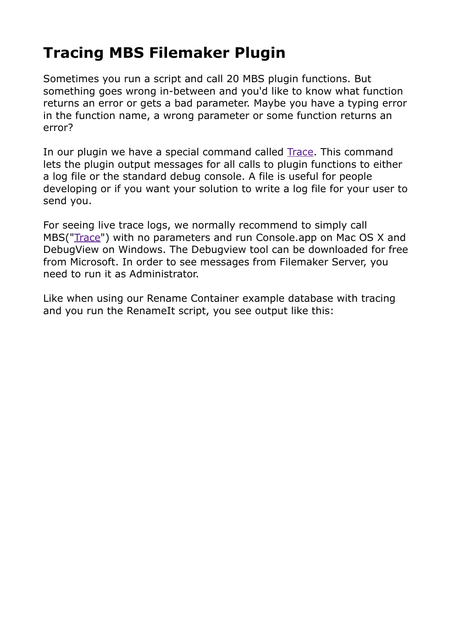## **[Tracing MBS Filemaker Plugin](http://www.mbs-plugins.com/archive/2012-11-10/Tracing_MBS_Filemaker_Plugin)**

Sometimes you run a script and call 20 MBS plugin functions. But something goes wrong in-between and you'd like to know what function returns an error or gets a bad parameter. Maybe you have a typing error in the function name, a wrong parameter or some function returns an error?

In our plugin we have a special command called [Trace.](http://www.mbsplugins.eu/Trace.shtml) This command lets the plugin output messages for all calls to plugin functions to either a log file or the standard debug console. A file is useful for people developing or if you want your solution to write a log file for your user to send you.

For seeing live trace logs, we normally recommend to simply call MBS(["Trace"](http://www.mbsplugins.eu/Trace.shtml)) with no parameters and run Console.app on Mac OS X and DebugView on Windows. The Debugview tool can be downloaded for free from Microsoft. In order to see messages from Filemaker Server, you need to run it as Administrator.

Like when using our Rename Container example database with tracing and you run the RenameIt script, you see output like this: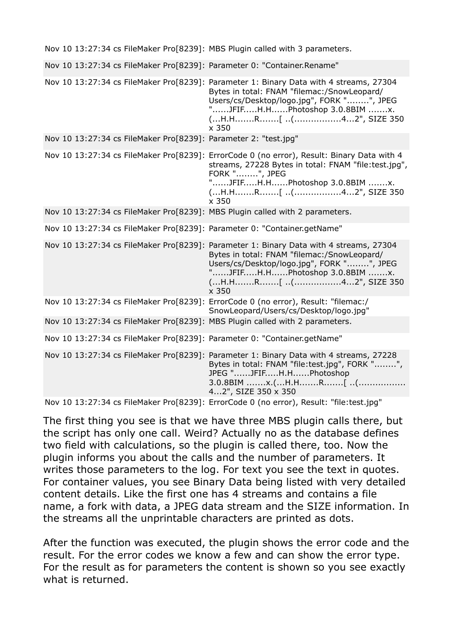|  |  | Nov 10 13:27:34 cs FileMaker Pro[8239]: MBS Plugin called with 3 parameters.                                                                                                                                                                                                                                   |
|--|--|----------------------------------------------------------------------------------------------------------------------------------------------------------------------------------------------------------------------------------------------------------------------------------------------------------------|
|  |  | Nov 10 13:27:34 cs FileMaker Pro[8239]: Parameter 0: "Container.Rename"                                                                                                                                                                                                                                        |
|  |  | Nov 10 13:27:34 cs FileMaker Pro[8239]: Parameter 1: Binary Data with 4 streams, 27304<br>Bytes in total: FNAM "filemac:/SnowLeopard/<br>Users/cs/Desktop/logo.jpg", FORK "", JPEG<br>"JFIFH.HPhotoshop 3.0.8BIM x.<br>(H.HR[ (42", SIZE 350<br>x 350                                                          |
|  |  | Nov 10 13:27:34 cs FileMaker Pro[8239]: Parameter 2: "test.jpg"                                                                                                                                                                                                                                                |
|  |  | Nov 10 13:27:34 cs FileMaker Pro[8239]: ErrorCode 0 (no error), Result: Binary Data with 4<br>streams, 27228 Bytes in total: FNAM "file:test.jpg",<br>FORK "", JPEG<br>"JFIFH.HPhotoshop 3.0.8BIM x.<br>(H.HR[ (42", SIZE 350<br>x 350                                                                         |
|  |  | Nov 10 13:27:34 cs FileMaker Pro[8239]: MBS Plugin called with 2 parameters.                                                                                                                                                                                                                                   |
|  |  | Nov 10 13:27:34 cs FileMaker Pro[8239]: Parameter 0: "Container.getName"                                                                                                                                                                                                                                       |
|  |  | Nov 10 13:27:34 cs FileMaker Pro[8239]: Parameter 1: Binary Data with 4 streams, 27304<br>Bytes in total: FNAM "filemac:/SnowLeopard/<br>Users/cs/Desktop/logo.jpg", FORK "", JPEG<br>"JFIFH.HPhotoshop 3.0.8BIM x.                                                                                            |
|  |  | $\times$ 350                                                                                                                                                                                                                                                                                                   |
|  |  | Nov 10 13:27:34 cs FileMaker Pro[8239]: ErrorCode 0 (no error), Result: "filemac:/                                                                                                                                                                                                                             |
|  |  | SnowLeopard/Users/cs/Desktop/logo.jpg"<br>Nov 10 13:27:34 cs FileMaker Pro[8239]: MBS Plugin called with 2 parameters.                                                                                                                                                                                         |
|  |  | Nov 10 13:27:34 cs FileMaker Pro[8239]: Parameter 0: "Container.getName"                                                                                                                                                                                                                                       |
|  |  | Nov 10 13:27:34 cs FileMaker Pro[8239]: Parameter 1: Binary Data with 4 streams, 27228<br>Bytes in total: FNAM "file:test.jpg", FORK "",<br>JPEG "JFIFH.HPhotoshop<br>$3.0.8$ BIM x.(H.HR[ (<br>42", SIZE 350 x 350<br>Nov 10 13:27:34 cs FileMaker Pro[8239]: ErrorCode 0 (no error), Result: "file:test.jpg" |

The first thing you see is that we have three MBS plugin calls there, but the script has only one call. Weird? Actually no as the database defines two field with calculations, so the plugin is called there, too. Now the plugin informs you about the calls and the number of parameters. It writes those parameters to the log. For text you see the text in quotes. For container values, you see Binary Data being listed with very detailed content details. Like the first one has 4 streams and contains a file name, a fork with data, a JPEG data stream and the SIZE information. In the streams all the unprintable characters are printed as dots.

After the function was executed, the plugin shows the error code and the result. For the error codes we know a few and can show the error type. For the result as for parameters the content is shown so you see exactly what is returned.